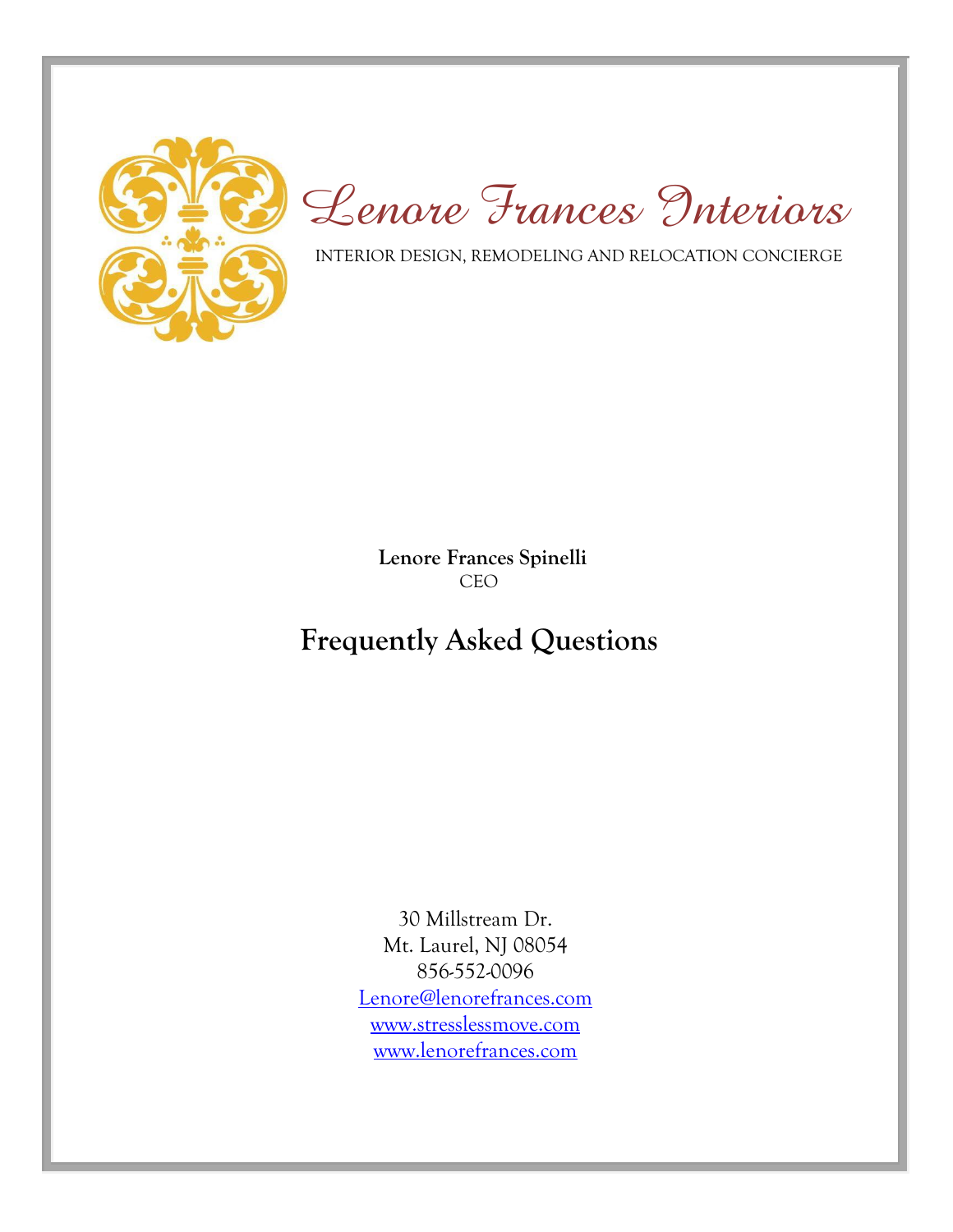

*Lenore Frances Interiors*

INTERIOR DESIGN, REMODELING AND RELOCATION CONCIERGE

 **Lenore Frances Spinelli** CEO

# **Frequently Asked Questions**

30 Millstream Dr. Mt. Laurel, NJ 08054 856-552-0096 [Lenore@lenorefrances.com](mailto:Lenore@lenorefrances.com) [www.stresslessmove.com](http://www.stresslessmove.com/) [www.lenorefrances.com](http://www.lenorefrances.com/)